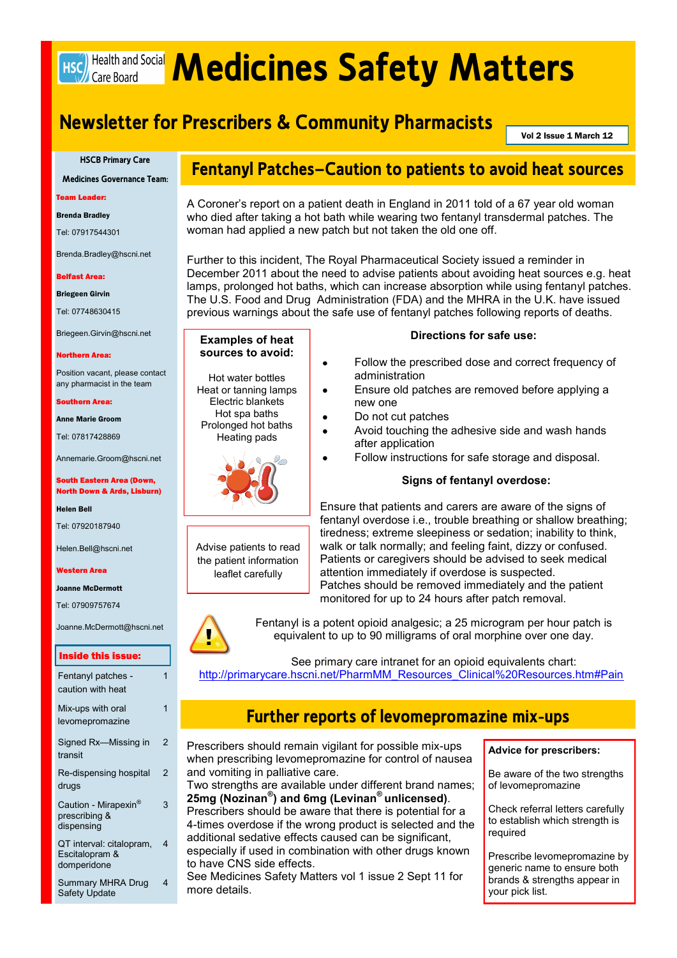# <span id="page-0-0"></span>Hsc) Health and Social **Medicines Safety Matters**

# **Newsletter for Prescribers & Community Pharmacists**

Vol 2 Issue 1 March 12

#### **HSCB Primary Care**

**Medicines Governance Team:**

Team Leader:

Brenda Bradley

Tel: 07917544301

Brenda.Bradley@hscni.net

#### Belfast Area:

Briegeen Girvin

Tel: 07748630415

Briegeen.Girvin@hscni.net

#### Northern Area:

Position vacant, please contact any pharmacist in the team

#### Southern Area:

Anne Marie Groom

Tel: 07817428869

Annemarie.Groom@hscni.net

#### South Eastern Area (Down, North Down & Ards, Lisburn)

Helen Bell

Tel: 07920187940

Helen.Bell@hscni.net

#### Western Area

Joanne McDermott

Tel: 07909757674

Joanne.McDermott@hscni.net

#### Inside this issue:

| Fentanyl patches -<br>caution with heat                         | 1 |
|-----------------------------------------------------------------|---|
| Mix-ups with oral<br>levomepromazine                            | 1 |
| Signed Rx-Missing in<br>transit                                 | 2 |
| Re-dispensing hospital<br>drugs                                 | 2 |
| Caution - Mirapexin <sup>®</sup><br>prescribing &<br>dispensing | 3 |
| QT interval: citalopram,<br>Escitalopram &<br>domperidone       | 4 |
| <b>Summary MHRA Drug</b>                                        | 4 |

Safety Update

# **Fentanyl Patches—Caution to patients to avoid heat sources**

A Coroner's report on a patient death in England in 2011 told of a 67 year old woman who died after taking a hot bath while wearing two fentanyl transdermal patches. The woman had applied a new patch but not taken the old one off.

Further to this incident, The Royal Pharmaceutical Society issued a reminder in December 2011 about the need to advise patients about avoiding heat sources e.g. heat lamps, prolonged hot baths, which can increase absorption while using fentanyl patches. The U.S. Food and Drug Administration (FDA) and the MHRA in the U.K. have issued previous warnings about the safe use of fentanyl patches following reports of deaths.

### **Examples of heat sources to avoid:**

Hot water bottles Heat or tanning lamps Electric blankets Hot spa baths Prolonged hot baths

Heating pads



Advise patients to read the patient information leaflet carefully

### **Directions for safe use:**

- Follow the prescribed dose and correct frequency of administration
- Ensure old patches are removed before applying a new one
- Do not cut patches
- Avoid touching the adhesive side and wash hands after application
- Follow instructions for safe storage and disposal.

### **Signs of fentanyl overdose:**

Ensure that patients and carers are aware of the signs of fentanyl overdose i.e., trouble breathing or shallow breathing; tiredness; extreme sleepiness or sedation; inability to think, walk or talk normally; and feeling faint, dizzy or confused. Patients or caregivers should be advised to seek medical attention immediately if overdose is suspected. Patches should be removed immediately and the patient monitored for up to 24 hours after patch removal.



Fentanyl is a potent opioid analgesic; a 25 microgram per hour patch is equivalent to up to 90 milligrams of oral morphine over one day.

See primary care intranet for an opioid equivalents chart: [http://primarycare.hscni.net/PharmMM\\_Resources\\_Clinical%20Resources.htm#Pain](#page-0-0)

# **Further reports of levomepromazine mix-ups**

Prescribers should remain vigilant for possible mix-ups when prescribing levomepromazine for control of nausea and vomiting in palliative care.

Two strengths are available under different brand names; **25mg (Nozinan® ) and 6mg (Levinan® unlicensed)**.

Prescribers should be aware that there is potential for a 4-times overdose if the wrong product is selected and the additional sedative effects caused can be significant,

especially if used in combination with other drugs known to have CNS side effects.

See Medicines Safety Matters vol 1 issue 2 Sept 11 for more details.

**Advice for prescribers:**

Be aware of the two strengths of levomepromazine

Check referral letters carefully to establish which strength is required

Prescribe levomepromazine by generic name to ensure both brands & strengths appear in your pick list.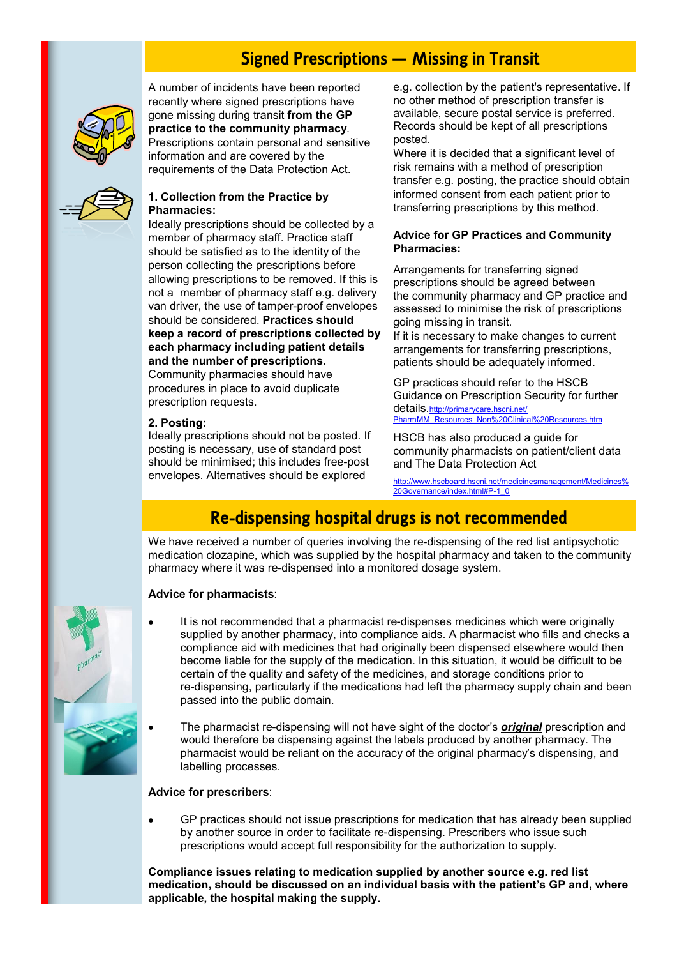# **Signed Prescriptions – Missing in Transit**

<span id="page-1-0"></span>

A number of incidents have been reported recently where signed prescriptions have gone missing during transit **from the GP practice to the community pharmacy**. Prescriptions contain personal and sensitive information and are covered by the requirements of the Data Protection Act.



## **1. Collection from the Practice by Pharmacies:**

Ideally prescriptions should be collected by a member of pharmacy staff. Practice staff should be satisfied as to the identity of the person collecting the prescriptions before allowing prescriptions to be removed. If this is not a member of pharmacy staff e.g. delivery van driver, the use of tamper-proof envelopes should be considered. **Practices should keep a record of prescriptions collected by each pharmacy including patient details and the number of prescriptions.** Community pharmacies should have

procedures in place to avoid duplicate prescription requests.

### **2. Posting:**

Ideally prescriptions should not be posted. If posting is necessary, use of standard post should be minimised; this includes free-post envelopes. Alternatives should be explored

e.g. collection by the patient's representative. If no other method of prescription transfer is available, secure postal service is preferred. Records should be kept of all prescriptions posted.

Where it is decided that a significant level of risk remains with a method of prescription transfer e.g. posting, the practice should obtain informed consent from each patient prior to transferring prescriptions by this method.

### **Advice for GP Practices and Community Pharmacies:**

Arrangements for transferring signed prescriptions should be agreed between the community pharmacy and GP practice and assessed to minimise the risk of prescriptions going missing in transit.

If it is necessary to make changes to current arrangements for transferring prescriptions, patients should be adequately informed.

GP practices should refer to the HSCB Guidance on Prescription Security for further details.[http://primarycare.hscni.net/](#page-1-0) [PharmMM\\_Resources\\_Non%20Clinical%20Resources.htm](#page-1-0)

HSCB has also produced a guide for community pharmacists on patient/client data and The Data Protection Act

[http://www.hscboard.hscni.net/medicinesmanagement/Medicines%](http://www.hscboard.hscni.net/medicinesmanagement/Medicines%20Governance/index.html#P-1_0) [20Governance/index.html#P-1\\_0](http://www.hscboard.hscni.net/medicinesmanagement/Medicines%20Governance/index.html#P-1_0)

# **Re-dispensing hospital drugs is not recommended**

We have received a number of queries involving the re-dispensing of the red list antipsychotic medication clozapine, which was supplied by the hospital pharmacy and taken to the community pharmacy where it was re-dispensed into a monitored dosage system.

# **Advice for pharmacists**:

- It is not recommended that a pharmacist re-dispenses medicines which were originally  $\bullet$ supplied by another pharmacy, into compliance aids. A pharmacist who fills and checks a compliance aid with medicines that had originally been dispensed elsewhere would then become liable for the supply of the medication. In this situation, it would be difficult to be certain of the quality and safety of the medicines, and storage conditions prior to re-dispensing, particularly if the medications had left the pharmacy supply chain and been passed into the public domain.
- The pharmacist re-dispensing will not have sight of the doctor's *original* prescription and would therefore be dispensing against the labels produced by another pharmacy. The pharmacist would be reliant on the accuracy of the original pharmacy's dispensing, and labelling processes.

### **Advice for prescribers**:

GP practices should not issue prescriptions for medication that has already been supplied  $\bullet$ by another source in order to facilitate re-dispensing. Prescribers who issue such prescriptions would accept full responsibility for the authorization to supply.

**Compliance issues relating to medication supplied by another source e.g. red list medication, should be discussed on an individual basis with the patient's GP and, where applicable, the hospital making the supply.**

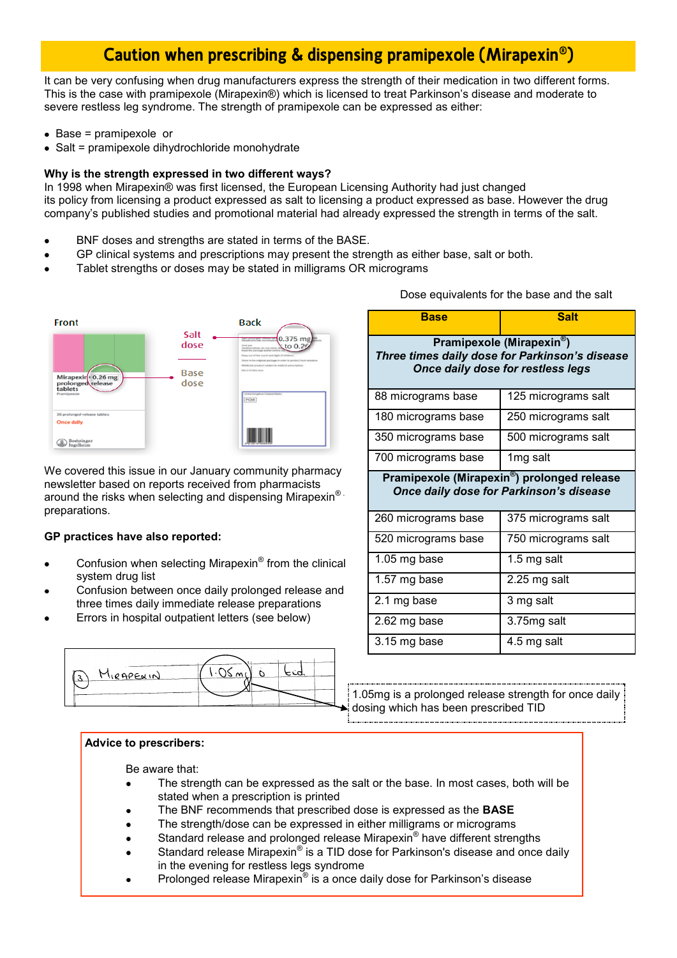# **Caution when prescribing & dispensing pramipexole (Mirapexin® )**

It can be very confusing when drug manufacturers express the strength of their medication in two different forms. This is the case with pramipexole (Mirapexin®) which is licensed to treat Parkinson's disease and moderate to severe restless leg syndrome. The strength of pramipexole can be expressed as either:

- $\bullet$  Base = pramipexole or
- Salt = pramipexole dihydrochloride monohydrate

### **Why is the strength expressed in two different ways?**

In 1998 when Mirapexin® was first licensed, the European Licensing Authority had just changed its policy from licensing a product expressed as salt to licensing a product expressed as base. However the drug company's published studies and promotional material had already expressed the strength in terms of the salt.

- BNF doses and strengths are stated in terms of the BASE.
- GP clinical systems and prescriptions may present the strength as either base, salt or both.
- Tablet strengths or doses may be stated in milligrams OR micrograms



We covered this issue in our January community pharmacy newsletter based on reports received from pharmacists around the risks when selecting and dispensing Mirapexin® . preparations.

### **GP practices have also reported:**

- Confusion when selecting Mirapexin® from the clinical system drug list
- Confusion between once daily prolonged release and three times daily immediate release preparations
- Errors in hospital outpatient letters (see below)



Dose equivalents for the base and the salt

| <b>Base</b>                                                                                                                  | <b>Salt</b>         |  |  |  |
|------------------------------------------------------------------------------------------------------------------------------|---------------------|--|--|--|
| Pramipexole (Mirapexin <sup>®</sup> )<br>Three times daily dose for Parkinson's disease<br>Once daily dose for restless legs |                     |  |  |  |
| 88 micrograms base                                                                                                           | 125 micrograms salt |  |  |  |
| 180 micrograms base                                                                                                          | 250 micrograms salt |  |  |  |
| 350 micrograms base                                                                                                          | 500 micrograms salt |  |  |  |
| 700 micrograms base                                                                                                          | 1mg salt            |  |  |  |
| Pramipexole (Mirapexin®) prolonged release<br>Once daily dose for Parkinson's disease                                        |                     |  |  |  |
| 260 micrograms base                                                                                                          | 375 micrograms salt |  |  |  |
| 520 micrograms base                                                                                                          | 750 micrograms salt |  |  |  |
| 1.05 mg base                                                                                                                 | 1.5 mg salt         |  |  |  |
| 1.57 mg base                                                                                                                 | 2.25 mg salt        |  |  |  |
| 2.1 mg base                                                                                                                  | 3 mg salt           |  |  |  |
| 2.62 mg base                                                                                                                 | 3.75mg salt         |  |  |  |
| 3.15 mg base                                                                                                                 | 4.5 mg salt         |  |  |  |

1.05mg is a prolonged release strength for once daily dosing which has been prescribed TID

### **Advice to prescribers:**

Be aware that:

- The strength can be expressed as the salt or the base. In most cases, both will be stated when a prescription is printed
- The BNF recommends that prescribed dose is expressed as the **BASE**
- The strength/dose can be expressed in either milligrams or micrograms  $\bullet$
- Standard release and prolonged release Mirapexin® have different strengths  $\bullet$
- Standard release Mirapexin® is a TID dose for Parkinson's disease and once daily in the evening for restless legs syndrome
- Prolonged release Mirapexin® is a once daily dose for Parkinson's disease